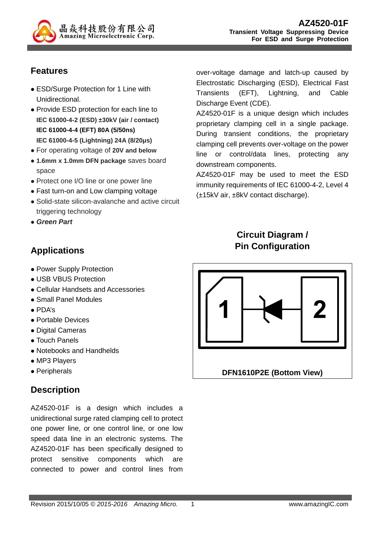

# **Features**

- ESD/Surge Protection for 1 Line with Unidirectional.
- Provide ESD protection for each line to **IEC 61000-4-2 (ESD) ±30kV (air / contact) IEC 61000-4-4 (EFT) 80A (5/50ns) IEC 61000-4-5 (Lightning) 24A (8/20µs)**
- For operating voltage of **20V and below**
- **1.6mm x 1.0mm DFN package** saves board space
- Protect one I/O line or one power line
- Fast turn-on and Low clamping voltage
- Solid-state silicon-avalanche and active circuit triggering technology
- **Green Part**

## **Applications**

- Power Supply Protection
- USB VBUS Protection
- Cellular Handsets and Accessories
- Small Panel Modules
- PDA's
- Portable Devices
- Digital Cameras
- Touch Panels
- Notebooks and Handhelds
- MP3 Players
- Peripherals

### **Description**

AZ4520-01F is a design which includes a unidirectional surge rated clamping cell to protect one power line, or one control line, or one low speed data line in an electronic systems. The AZ4520-01F has been specifically designed to protect sensitive components which are connected to power and control lines from

over-voltage damage and latch-up caused by Electrostatic Discharging (ESD), Electrical Fast Transients (EFT), Lightning, and Cable Discharge Event (CDE).

AZ4520-01F is a unique design which includes proprietary clamping cell in a single package. During transient conditions, the proprietary clamping cell prevents over-voltage on the power line or control/data lines, protecting any downstream components.

AZ4520-01F may be used to meet the ESD immunity requirements of IEC 61000-4-2, Level 4 (±15kV air, ±8kV contact discharge).

# **Circuit Diagram / Pin Configuration**

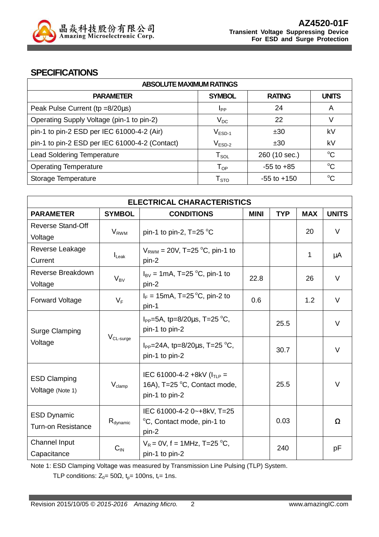

#### **SPECIFICATIONS**

| <b>ABSOLUTE MAXIMUM RATINGS</b>                |                        |                 |              |  |
|------------------------------------------------|------------------------|-----------------|--------------|--|
| <b>PARAMETER</b>                               | <b>SYMBOL</b>          | <b>RATING</b>   | <b>UNITS</b> |  |
| Peak Pulse Current ( $tp = 8/20\mu s$ )        | <b>I</b> pp            | 24              | A            |  |
| Operating Supply Voltage (pin-1 to pin-2)      | $V_{DC}$               | 22              | V            |  |
| pin-1 to pin-2 ESD per IEC 61000-4-2 (Air)     | $V_{ESD-1}$            | ±30             | kV           |  |
| pin-1 to pin-2 ESD per IEC 61000-4-2 (Contact) | $V_{ESD-2}$            | ±30             | kV           |  |
| <b>Lead Soldering Temperature</b>              | ${\sf T}_{\sf SOL}$    | 260 (10 sec.)   | $^{\circ}C$  |  |
| <b>Operating Temperature</b>                   | $T_{OP}$               | $-55$ to $+85$  | $^{\circ}C$  |  |
| Storage Temperature                            | ${\sf T}_{\text{STO}}$ | $-55$ to $+150$ | $\rm ^{o}C$  |  |

| <b>ELECTRICAL CHARACTERISTICS</b> |                       |                                                              |             |            |            |              |
|-----------------------------------|-----------------------|--------------------------------------------------------------|-------------|------------|------------|--------------|
| <b>PARAMETER</b>                  | <b>SYMBOL</b>         | <b>CONDITIONS</b>                                            | <b>MINI</b> | <b>TYP</b> | <b>MAX</b> | <b>UNITS</b> |
| <b>Reverse Stand-Off</b>          |                       |                                                              |             |            |            | V            |
| Voltage                           | $V_{RWM}$             | pin-1 to pin-2, $T=25$ °C                                    |             |            | 20         |              |
| Reverse Leakage                   |                       | $V_{RWM}$ = 20V, T=25 °C, pin-1 to                           |             |            |            |              |
| Current                           | $I_{\text{Leak}}$     | pin-2                                                        |             |            | 1          | μA           |
| Reverse Breakdown                 |                       | $I_{\text{BV}}$ = 1mA, T=25 °C, pin-1 to                     |             |            |            | V            |
| Voltage                           | $V_{BV}$              | pin-2                                                        | 22.8        |            | 26         |              |
| Forward Voltage                   | $V_F$                 | $I_F = 15 \text{mA}$ , T=25 °C, pin-2 to                     | 0.6         |            | 1.2        | V            |
|                                   |                       | pin-1                                                        |             |            |            |              |
| <b>Surge Clamping</b>             | V <sub>CL-surge</sub> | $I_{PP}$ =5A, tp=8/20 $\mu$ s, T=25 °C,                      |             | 25.5       |            | V            |
|                                   |                       | pin-1 to pin-2                                               |             |            |            |              |
| Voltage                           |                       | $I_{PP}$ =24A, tp=8/20 $\mu$ s, T=25 °C,                     |             |            |            |              |
|                                   |                       | pin-1 to pin-2                                               |             | 30.7       |            | V            |
|                                   |                       |                                                              |             |            |            |              |
| <b>ESD Clamping</b>               | $V_{\text{clamp}}$    | IEC 61000-4-2 +8kV $(ITIP =$<br>16A), T=25 °C, Contact mode, |             | 25.5       |            | V            |
| Voltage (Note 1)                  |                       | pin-1 to pin-2                                               |             |            |            |              |
|                                   |                       |                                                              |             |            |            |              |
| <b>ESD Dynamic</b>                |                       | IEC 61000-4-2 0~+8kV, T=25                                   |             |            |            |              |
| <b>Turn-on Resistance</b>         | $R_{\text{dynamic}}$  | °C, Contact mode, pin-1 to<br>pin-2                          |             | 0.03       |            | Ω            |
| Channel Input                     |                       | $V_R = 0V$ , f = 1MHz, T=25 °C,                              |             |            |            |              |
| Capacitance                       | $C_{\text{IN}}$       | pin-1 to pin-2                                               |             | 240        |            | рF           |
|                                   |                       |                                                              |             |            |            |              |

Note 1: ESD Clamping Voltage was measured by Transmission Line Pulsing (TLP) System.

TLP conditions:  $Z_0 = 50\Omega$ ,  $t_p = 100$ ns,  $t_r = 1$ ns.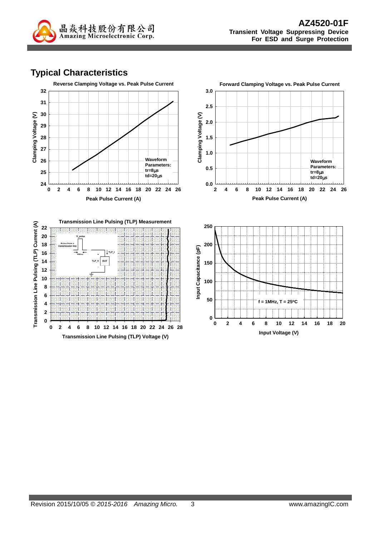

# **Typical Characteristics**







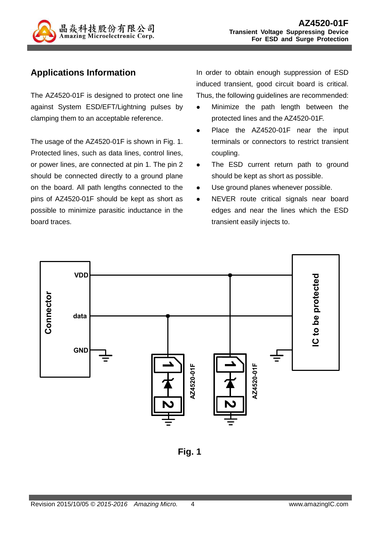

# **Applications Information**

The AZ4520-01F is designed to protect one line against System ESD/EFT/Lightning pulses by clamping them to an acceptable reference.

The usage of the AZ4520-01F is shown in Fig. 1. Protected lines, such as data lines, control lines, or power lines, are connected at pin 1. The pin 2 should be connected directly to a ground plane on the board. All path lengths connected to the pins of AZ4520-01F should be kept as short as possible to minimize parasitic inductance in the board traces.

In order to obtain enough suppression of ESD induced transient, good circuit board is critical. Thus, the following guidelines are recommended:

- Minimize the path length between the protected lines and the AZ4520-01F.
- Place the AZ4520-01F near the input terminals or connectors to restrict transient coupling.
- The ESD current return path to ground should be kept as short as possible.
- Use ground planes whenever possible.
- NEVER route critical signals near board edges and near the lines which the ESD transient easily injects to.



**Fig. 1**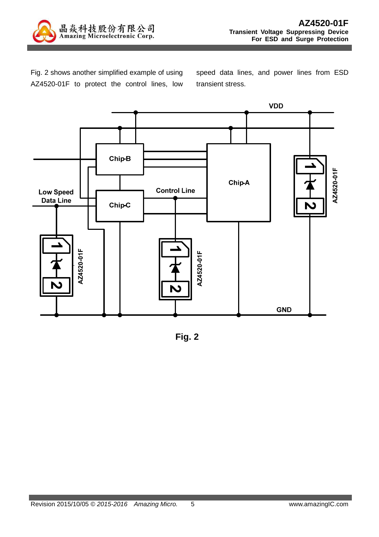

Fig. 2 shows another simplified example of using AZ4520-01F to protect the control lines, low speed data lines, and power lines from ESD transient stress.



**Fig. 2**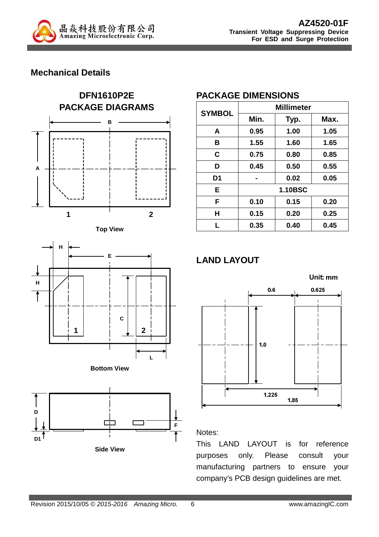

# **Mechanical Details**











**Side View**

## **PACKAGE DIMENSIONS**

| <b>SYMBOL</b>  | <b>Millimeter</b> |                |      |  |
|----------------|-------------------|----------------|------|--|
|                | Min.              | Typ.           | Max. |  |
| A              | 0.95              | 1.00           | 1.05 |  |
| в              | 1.55              | 1.60           | 1.65 |  |
| C              | 0.75              | 0.80           | 0.85 |  |
| D              | 0.45              | 0.50           | 0.55 |  |
| D <sub>1</sub> |                   | 0.02           | 0.05 |  |
| E              |                   | <b>1.10BSC</b> |      |  |
| F              | 0.10              | 0.15           | 0.20 |  |
| Н              | 0.15              | 0.20           | 0.25 |  |
| L              | 0.35              | 0.40           | 0.45 |  |

# **LAND LAYOUT**



#### Notes:

This LAND LAYOUT is for reference purposes only. Please consult your manufacturing partners to ensure your company's PCB design guidelines are met.